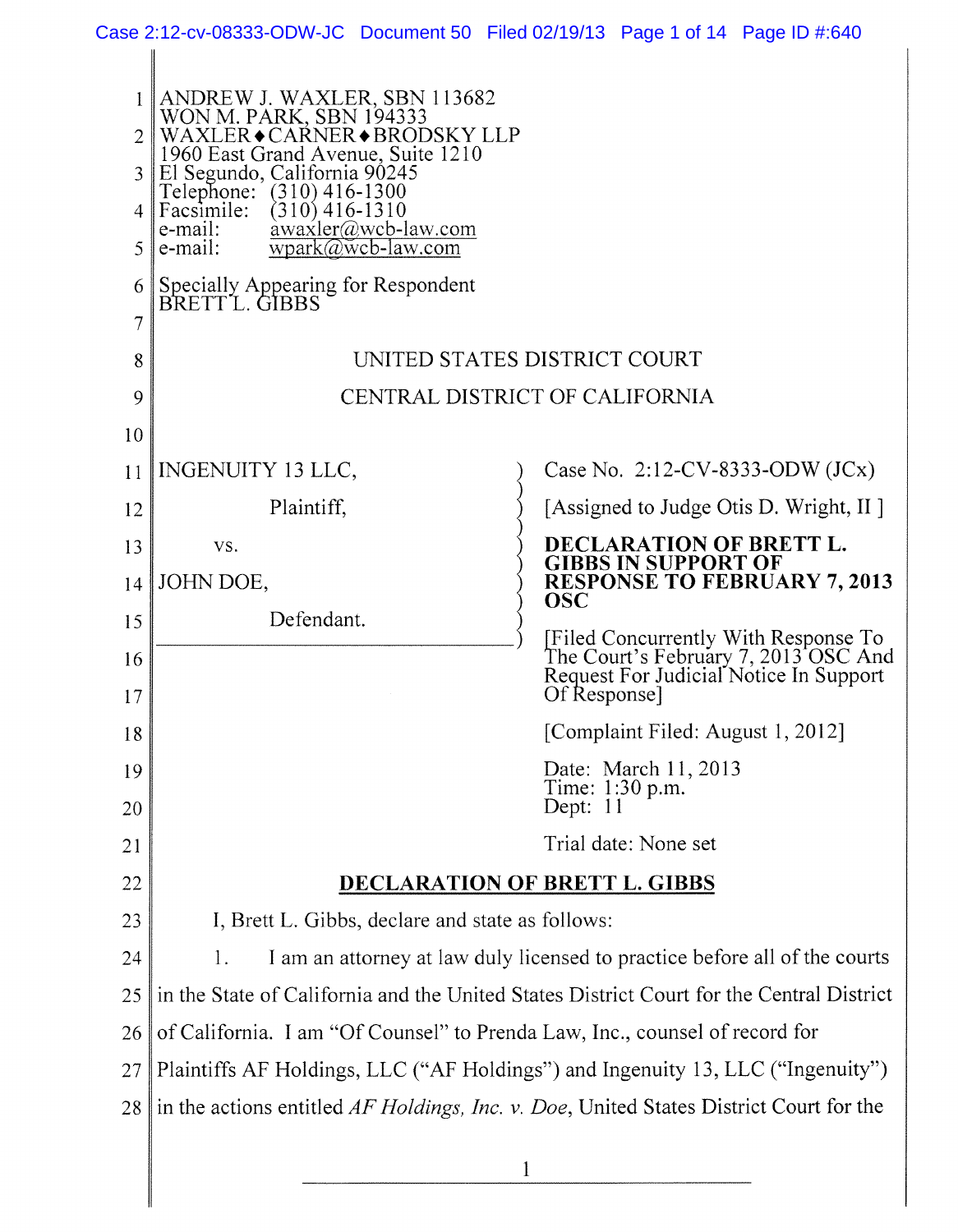Case 2:12-cv-08333-ODW-JC Document 50 Filed 02/19/13 Page 1 of 14 Page ID #:640

 $\mathbb{I}$ 

║

| $\mathcal{L}$<br>3<br>5 | ANDREW J. WAXLER, SBN 113682<br>WON M. PARK, SBN 194333<br>WAXLER◆CAŔNER◆BRODSKY LLP<br>1960 East Grand Avenue, Suite 1210<br>El Segundo, California 90245<br>Telephone:<br>$(310)$ 416-1300<br>Facsimile:<br>$(310)$ 416-1310<br>awaxler@wcb-law.com<br>e-mail:<br>e-mail:<br>$wpark@wcb-law.com$ |                                                                                                                                       |
|-------------------------|----------------------------------------------------------------------------------------------------------------------------------------------------------------------------------------------------------------------------------------------------------------------------------------------------|---------------------------------------------------------------------------------------------------------------------------------------|
| 6                       | Specially Appearing for Respondent<br>BRETT L. GIBBS                                                                                                                                                                                                                                               |                                                                                                                                       |
| 7                       |                                                                                                                                                                                                                                                                                                    |                                                                                                                                       |
| 8                       | UNITED STATES DISTRICT COURT                                                                                                                                                                                                                                                                       |                                                                                                                                       |
| 9                       | CENTRAL DISTRICT OF CALIFORNIA                                                                                                                                                                                                                                                                     |                                                                                                                                       |
| 10                      |                                                                                                                                                                                                                                                                                                    |                                                                                                                                       |
| 11                      | INGENUITY 13 LLC,                                                                                                                                                                                                                                                                                  | Case No. 2:12-CV-8333-ODW (JCx)                                                                                                       |
| 12                      | Plaintiff,                                                                                                                                                                                                                                                                                         | [Assigned to Judge Otis D. Wright, II ]                                                                                               |
| 13                      | VS.                                                                                                                                                                                                                                                                                                | DECLARATION OF BRETT L.                                                                                                               |
| 14                      | JOHN DOE,                                                                                                                                                                                                                                                                                          | <b>GIBBS IN SUPPORT OF</b><br><b>RESPONSE TO FEBRUARY 7, 2013</b>                                                                     |
| 15                      | Defendant.                                                                                                                                                                                                                                                                                         | <b>OSC</b>                                                                                                                            |
| 16<br>17                |                                                                                                                                                                                                                                                                                                    | [Filed Concurrently With Response To<br>The Court's February 7, 2013 OSC And<br>Request For Judicial Notice In Support<br>Of Response |
| 18                      |                                                                                                                                                                                                                                                                                                    | [Complaint Filed: August 1, 2012]                                                                                                     |
| 19                      |                                                                                                                                                                                                                                                                                                    | Date: March 11, 2013                                                                                                                  |
| 20                      |                                                                                                                                                                                                                                                                                                    | Time: 1:30 p.m.<br>Dept: 11                                                                                                           |
| 21                      |                                                                                                                                                                                                                                                                                                    | Trial date: None set                                                                                                                  |
| 22                      | <b>DECLARATION OF BRETT L. GIBBS</b>                                                                                                                                                                                                                                                               |                                                                                                                                       |
| 23                      | I, Brett L. Gibbs, declare and state as follows:                                                                                                                                                                                                                                                   |                                                                                                                                       |
| 24                      | I am an attorney at law duly licensed to practice before all of the courts<br>1.                                                                                                                                                                                                                   |                                                                                                                                       |
| 25                      | in the State of California and the United States District Court for the Central District                                                                                                                                                                                                           |                                                                                                                                       |
| 26                      | of California. I am "Of Counsel" to Prenda Law, Inc., counsel of record for                                                                                                                                                                                                                        |                                                                                                                                       |
| 27                      | Plaintiffs AF Holdings, LLC ("AF Holdings") and Ingenuity 13, LLC ("Ingenuity")                                                                                                                                                                                                                    |                                                                                                                                       |
| 28                      | in the actions entitled AF Holdings, Inc. v. Doe, United States District Court for the                                                                                                                                                                                                             |                                                                                                                                       |
|                         |                                                                                                                                                                                                                                                                                                    |                                                                                                                                       |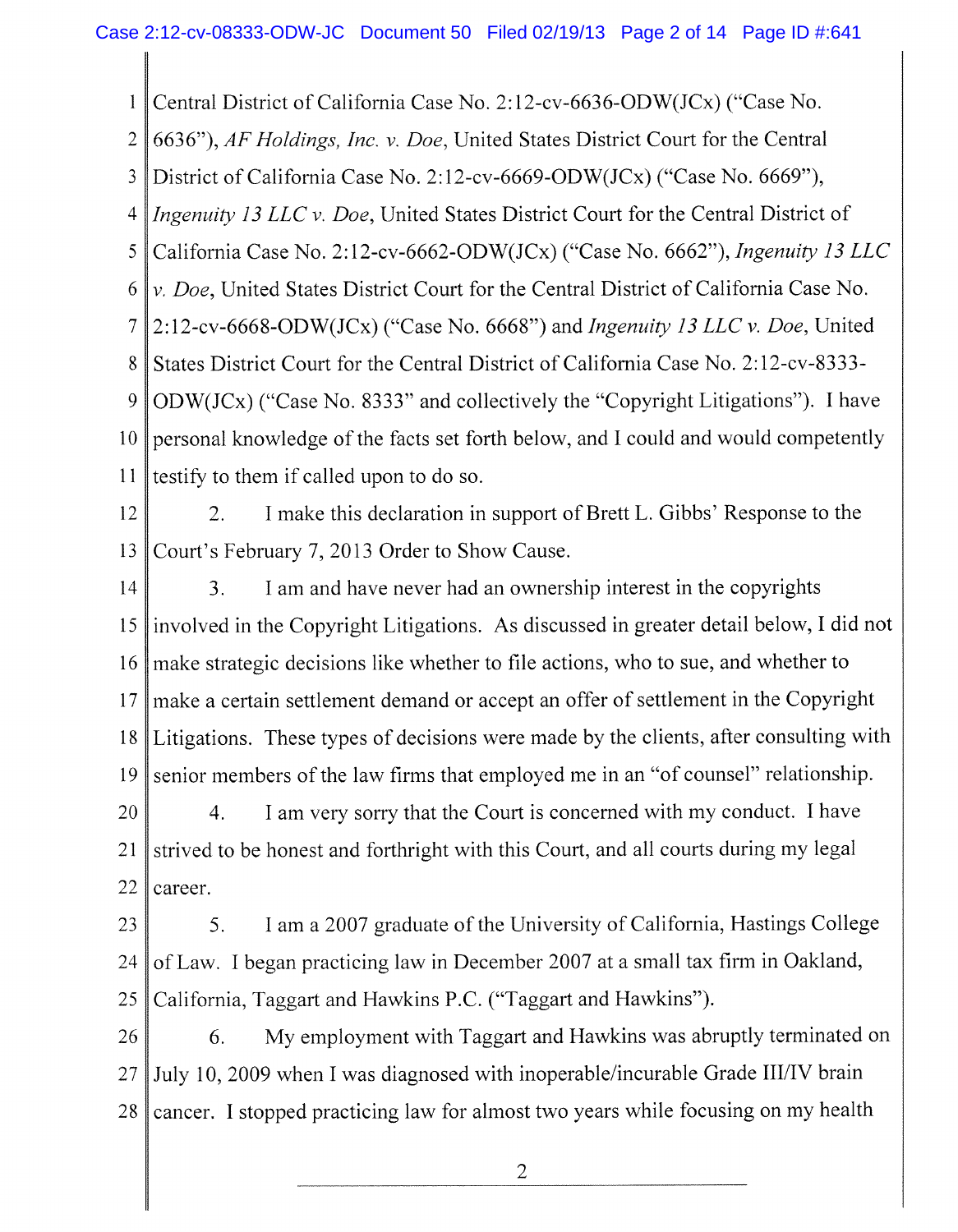1 Central District of California Case No. 2:12-cv-6636-ODW(JCx) ("Case No.

2 6636"), *AF Holdings, Inc.* v. *Doe,* United States District Court for the Central

3 District of California Case No. 2:12-cv-6669-ODW(JCx) ("Case No. 6669"),

4 *Ingenuity 13 LLC v. Doe,* United States District Court for the Central District of

5 California Case No. 2:12-cv-6662-ODW(JCx) ("Case No. 6662"), *Ingenuity 13 LLC* 

6 *v. Doe,* United States District Court for the Central District of California Case No.

7 2:12-cv-6668-ODW(JCx) ("Case No. 6668") and *Ingenuity 13 LLC v. Doe,* United

8 States District Court for the Central District of California Case No. 2:12-cv-8333-

9 10 11 ODW(JCx) ("Case No. 8333" and collectively the "Copyright Litigations"). I have personal knowledge of the facts set forth below, and I could and would competently testify to them if called upon to do so.

12 13 2. I make this declaration in support of Brett L. Gibbs' Response to the Court's February 7, 2013 Order to Show Cause.

14 15 16 17 18 19 3. I am and have never had an ownership interest in the copyrights involved in the Copyright Litigations. As discussed in greater detail below, I did not make strategic decisions like whether to file actions, who to sue, and whether to make a certain settlement demand or accept an offer of settlement in the Copyright Litigations. These types of decisions were made by the clients, after consulting with senior members of the law firms that employed me in an "of counsel" relationship.

20 21 22 4. I am very sorry that the Court is concerned with my conduct. I have strived to be honest and forthright with this Court, and all courts during my legal career.

23 24 25 5. I am a 2007 graduate of the University of California, Hastings College of Law. I began practicing law in December 2007 at a small tax firm in Oakland, California, Taggart and Hawkins P.C. ("Taggart and Hawkins").

26 27 28 6. My employment with Taggart and Hawkins was abruptly terminated on July 10, 2009 when I was diagnosed with inoperable/incurable Grade III/IV brain cancer. I stopped practicing law for almost two years while focusing on my health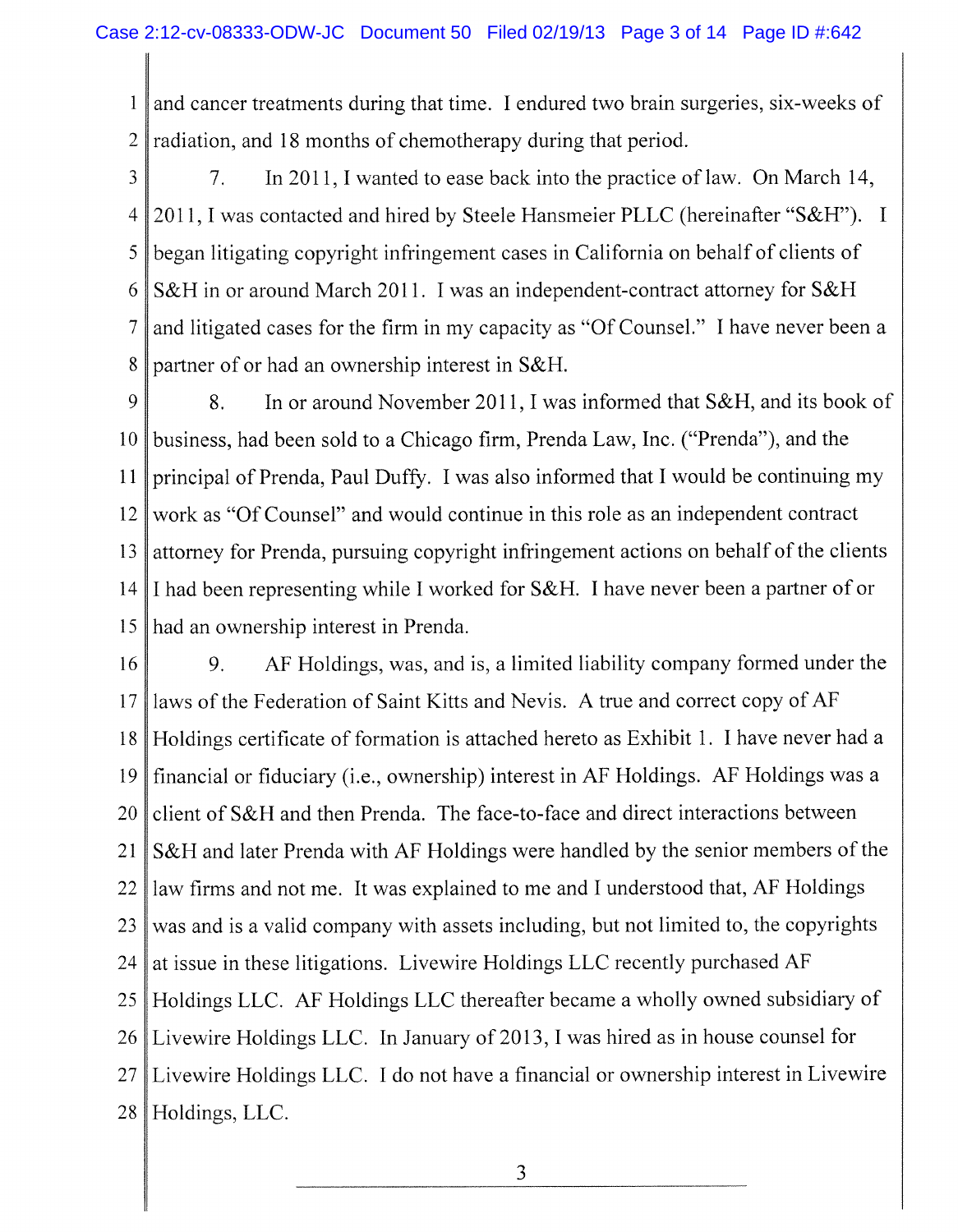1 2 and cancer treatments during that time. I endured two brain surgeries, six-weeks of radiation, and 18 months of chemotherapy during that period.

3 4 5 6 7 8 7. In 2011,1 wanted to ease back into the practice of law. On March 14, 2011, I was contacted and hired by Steele Hansmeier PLLC (hereinafter "S&H"). I began litigating copyright infringement cases in California on behalf of clients of S&H in or around March 2011. I was an independent-contract attorney for S&H and litigated cases for the firm in my capacity as "Of Counsel." I have never been a partner of or had an ownership interest in S&H.

9 10 11 12 13 14 15 8. In or around November 2011, I was informed that S&H, and its book of business, had been sold to a Chicago firm, Prenda Law, Inc. ("Prenda"), and the principal of Prenda, Paul Duffy. I was also informed that I would be continuing my work as "Of Counsel" and would continue in this role as an independent contract attorney for Prenda, pursuing copyright infringement actions on behalf of the clients I had been representing while I worked for S&H. I have never been a partner of or had an ownership interest in Prenda.

16 17 18 19 20 21 22 23 24 25 26 27 28 9. AF Holdings, was, and is, a limited liability company formed under the laws of the Federation of Saint Kitts and Nevis. A true and correct copy of AF Holdings certificate of formation is attached hereto as Exhibit 1. I have never had a financial or fiduciary (i.e., ownership) interest in AF Holdings. AF Holdings was a client of S&H and then Prenda. The face-to-face and direct interactions between S&H and later Prenda with AF Holdings were handled by the senior members of the law firms and not me. It was explained to me and I understood that, AF Holdings was and is a valid company with assets including, but not limited to, the copyrights at issue in these litigations. Livewire Holdings LLC recently purchased AF Holdings LLC. AF Holdings LLC thereafter became a wholly owned subsidiary of Livewire Holdings LLC. In January of 2013, I was hired as in house counsel for Livewire Holdings LLC . I do not have a financial or ownership interest in Livewire Holdings, LLC.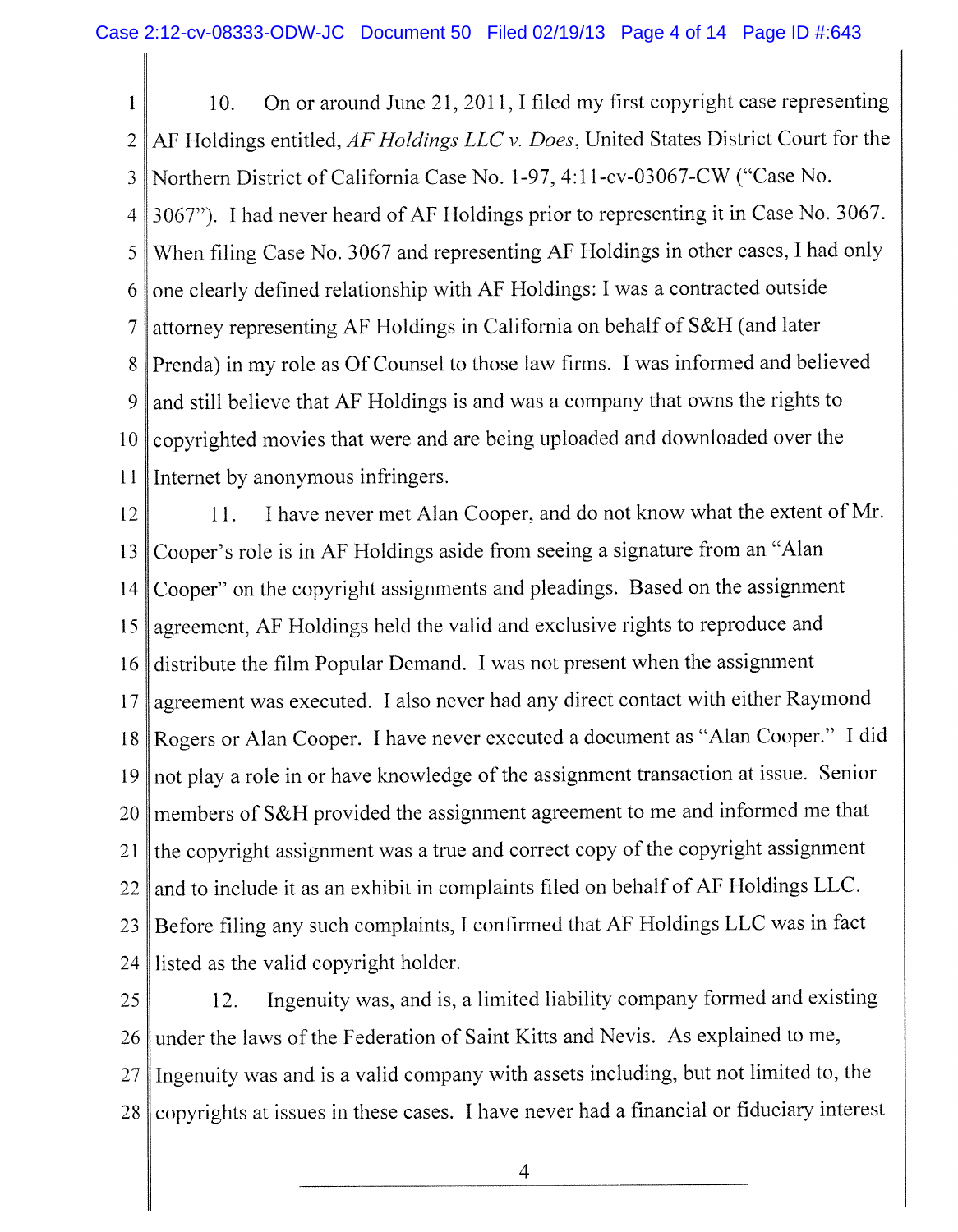1 2 3 4 5 6 7 8 9 10 11 10. On or around June 21, 2011, I filed my first copyright case representing AF Holdings entitled, AF Holdings LLC v. Does, United States District Court for the Northern District of California Case No. 1-97, 4:1 l-cv-03067-CW ("Case No. 3067"). I had never heard of AF Holdings prior to representing it in Case No. 3067. When filing Case No. 3067 and representing AF Holdings in other cases, I had only one clearly defined relationship with AF Holdings: I was a contracted outside attorney representing AF Holdings in California on behalf of S&H (and later Prenda) in my role as Of Counsel to those law firms. I was informed and believed and still believe that AF Holdings is and was a company that owns the rights to copyrighted movies that were and are being uploaded and downloaded over the Internet by anonymous infringers.

12 13 14 15 16 17 18 19 20 21 22 23 24 11. I have never met Alan Cooper, and do not know what the extent of Mr. Cooper's role is in AF Holdings aside from seeing a signature from an "Alan Cooper" on the copyright assignments and pleadings. Based on the assignment agreement, AF Holdings held the valid and exclusive rights to reproduce and distribute the film Popular Demand. I was not present when the assignment agreement was executed. I also never had any direct contact with either Raymond Rogers or Alan Cooper. I have never executed a document as "Alan Cooper." I did not play a role in or have knowledge of the assignment transaction at issue. Senior members of S&H provided the assignment agreement to me and informed me that the copyright assignment was a true and correct copy of the copyright assignment and to include it as an exhibit in complaints filed on behalf of AF Holdings LLC. Before filing any such complaints, I confirmed that AF Holdings LLC was in fact listed as the valid copyright holder.

25 26 27 28 12. Ingenuity was, and is, a limited liability company formed and existing under the laws of the Federation of Saint Kitts and Nevis. As explained to me, Ingenuity was and is a valid company with assets including, but not limited to, the copyrights at issues in these cases. I have never had a financial or fiduciary interest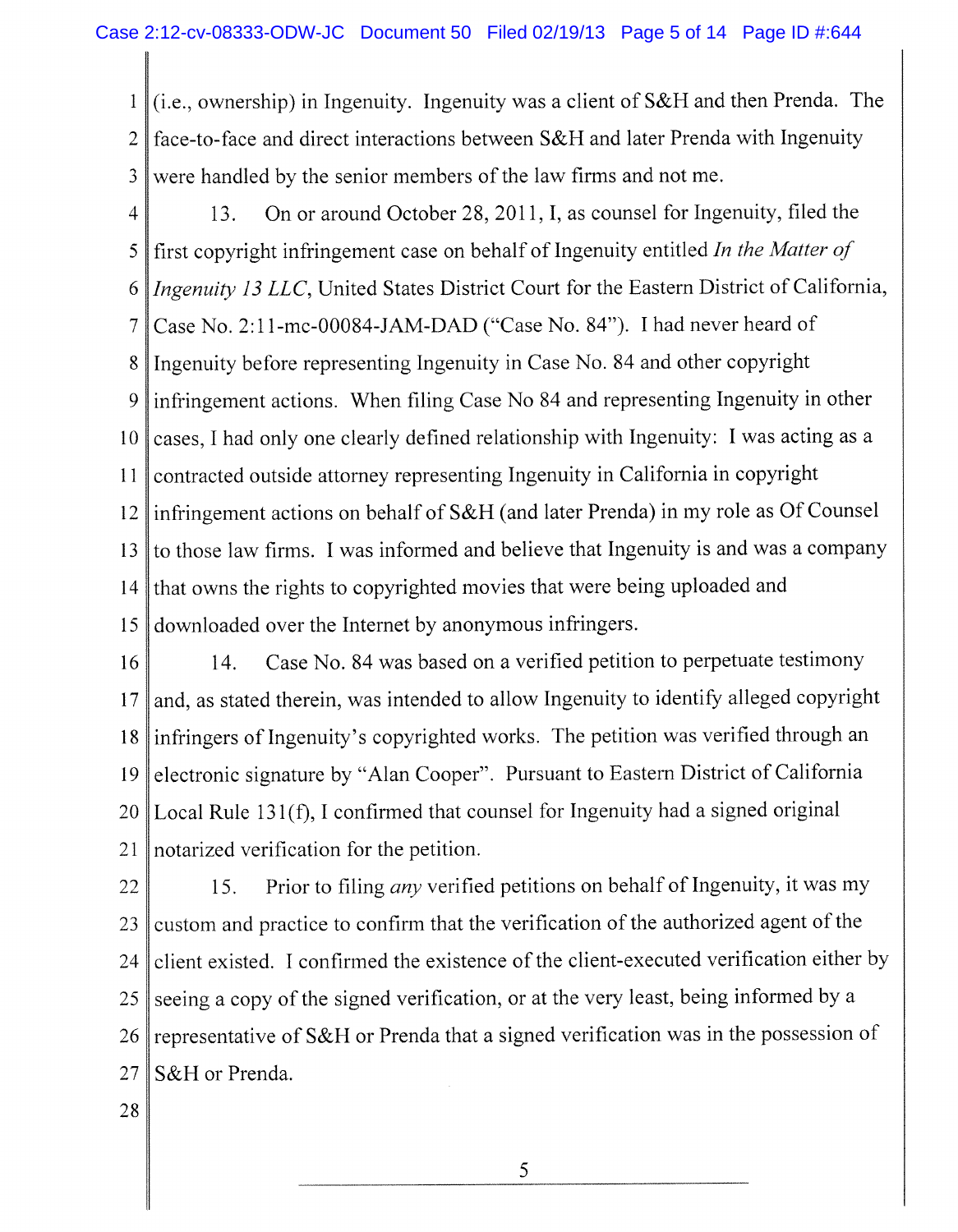1 2 3 (i.e., ownership) in Ingenuity. Ingenuity was a client of S& H and then Prenda. The face-to-face and direct interactions between S&H and later Prenda with Ingenuity were handled by the senior members of the law firms and not me.

- 4 5 6 7 8 9 10 11 12 13 14 15 13. On or around October 28, 2011, I, as counsel for Ingenuity, filed the first copyright infringement case on behalf of Ingenuity entitled *In the Matter of Ingenuity 13 LLC,* United States District Court for the Eastern District of California, Case No. 2:11 -mc **-00084-J**AM-DAD ("Case No. 84"). I had never heard of Ingenuity before representing Ingenuity in Case No. 84 and other copyright infringement actions. When filing Case No 84 and representing Ingenuity in other cases, I had only one clearly defined relationship with Ingenuity: I was acting as a contracted outside attorney representing Ingenuity in California in copyright infringement actions on behalf of S&H (and later Prenda) in my role as Of Counsel to those law firms. I was informed and believe that Ingenuity is and was a company that owns the rights to copyrighted movies that were being uploaded and downloaded over the Internet by anonymous infringers.
- 16 17 18 19 20 21 14. Case No. 84 was based on a verified petition to perpetuate testimony and, as stated therein, was intended to allow Ingenuity to identify alleged copyright infringers of Ingenuity's copyrighted works. The petition was verified through an electronic signature by "Alan Cooper". Pursuant to Eastern District of California Local Rule 131(f), I confirmed that counsel for Ingenuity had a signed original notarized verification for the petition.
- 22 23 24 25 26 27 15. Prior to filing *any* verified petitions on behalf of Ingenuity, it was my custom and practice to confirm that the verification of the authorized agent of the client existed. I confirmed the existence of the client-executed verification either by seeing a copy of the signed verification, or at the very least, being informed by a representative of S&H or Prenda that a signed verification was in the possession of S&H or Prenda.
- 28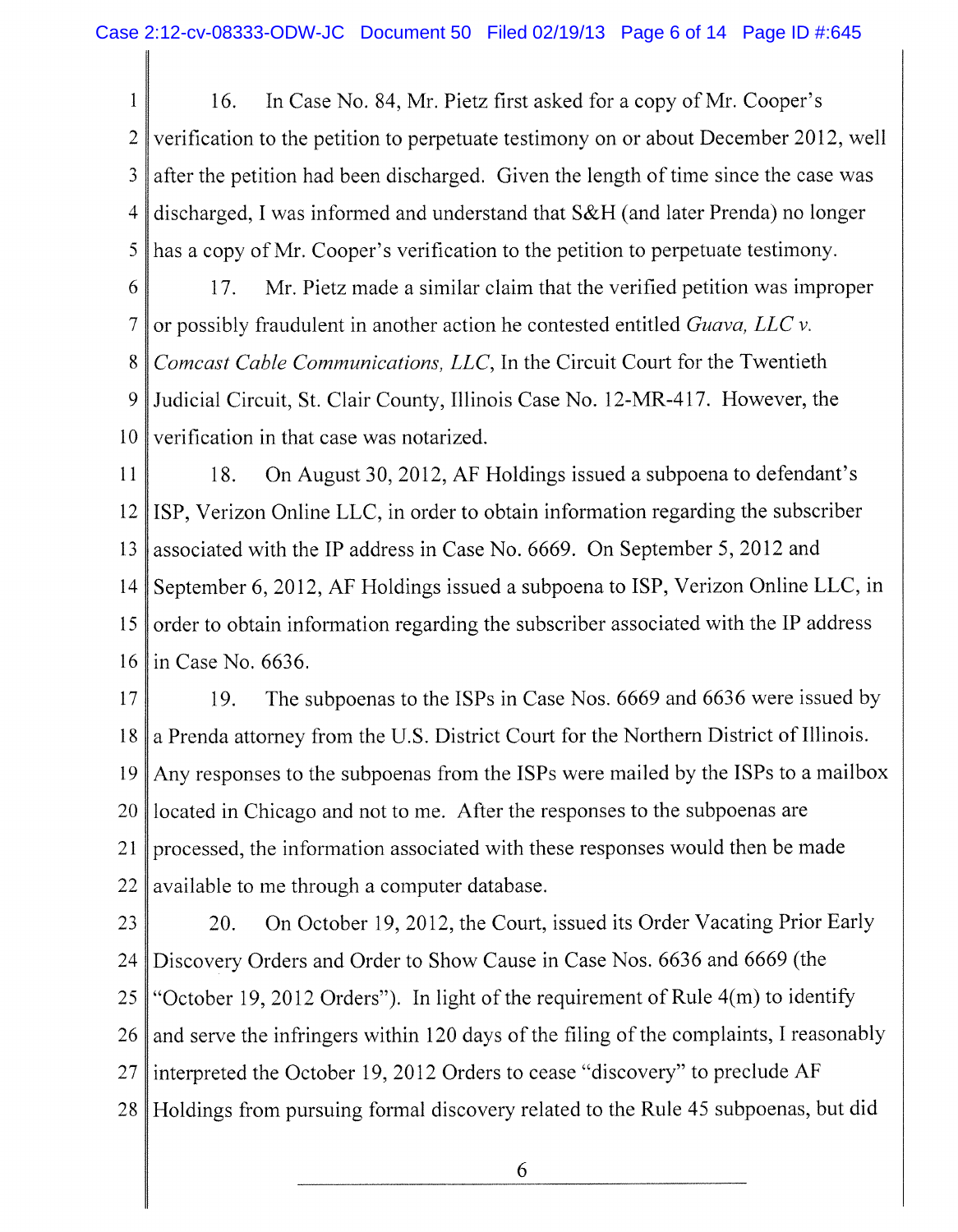1 2 3 4 5 6 16. In Case No. 84, Mr. Pietz first asked for a copy of Mr. Cooper's verification to the petition to perpetuate testimony on or about December 2012, well after the petition had been discharged. Given the length of time since the case was discharged, I was informed and understand that S& H (and later Prenda) no longer has a copy of Mr. Cooper's verification to the petition to perpetuate testimony. 17. Mr. Pietz made a similar claim that the verified petition was improper

7 8 9 10 or possibly fraudulent in another action he contested entitled *Guava, LLC* v. *Comcast Cable Communications, LLC,* In the Circuit Court for the Twentieth Judicial Circuit, St. Clair County, Illinois Case No. 12-MR-417. However, the verification in that case was notarized.

11 12 13 14 15 16 18. On August 30, 2012, AF Holdings issued a subpoena to defendant's ISP, Verizon Online LLC , in order to obtain information regarding the subscriber associated with the IP address in Case No. 6669. On September 5, 2012 and September 6, 2012, AF Holdings issued a subpoena to ISP, Verizon Online LLC, in order to obtain information regarding the subscriber associated with the IP address in Case No. 6636.

17 18 19 20 21 22 19. The subpoenas to the ISPs in Case Nos. 6669 and 6636 were issued by a Prenda attomey from the U.S. District Court for the Northern District of Illinois. Any responses to the subpoenas from the ISPs were mailed by the ISPs to a mailbox located in Chicago and not to me. After the responses to the subpoenas are processed, the information associated with these responses would then be made available to me through a computer database.

23 24 25 26 27 28 20. On October 19, 2012, the Court, issued its Order Vacating Prior Early Discovery Orders and Order to Show Cause in Case Nos. 6636 and 6669 (the "October 19, 2012 Orders"). In light of the requirement of Rule 4(m) to identify and serve the infringers within 120 days of the filing of the complaints, I reasonably interpreted the October 19, 2012 Orders to cease "discovery" to preclude AF Holdings from pursuing formal discovery related to the Rule 45 subpoenas, but did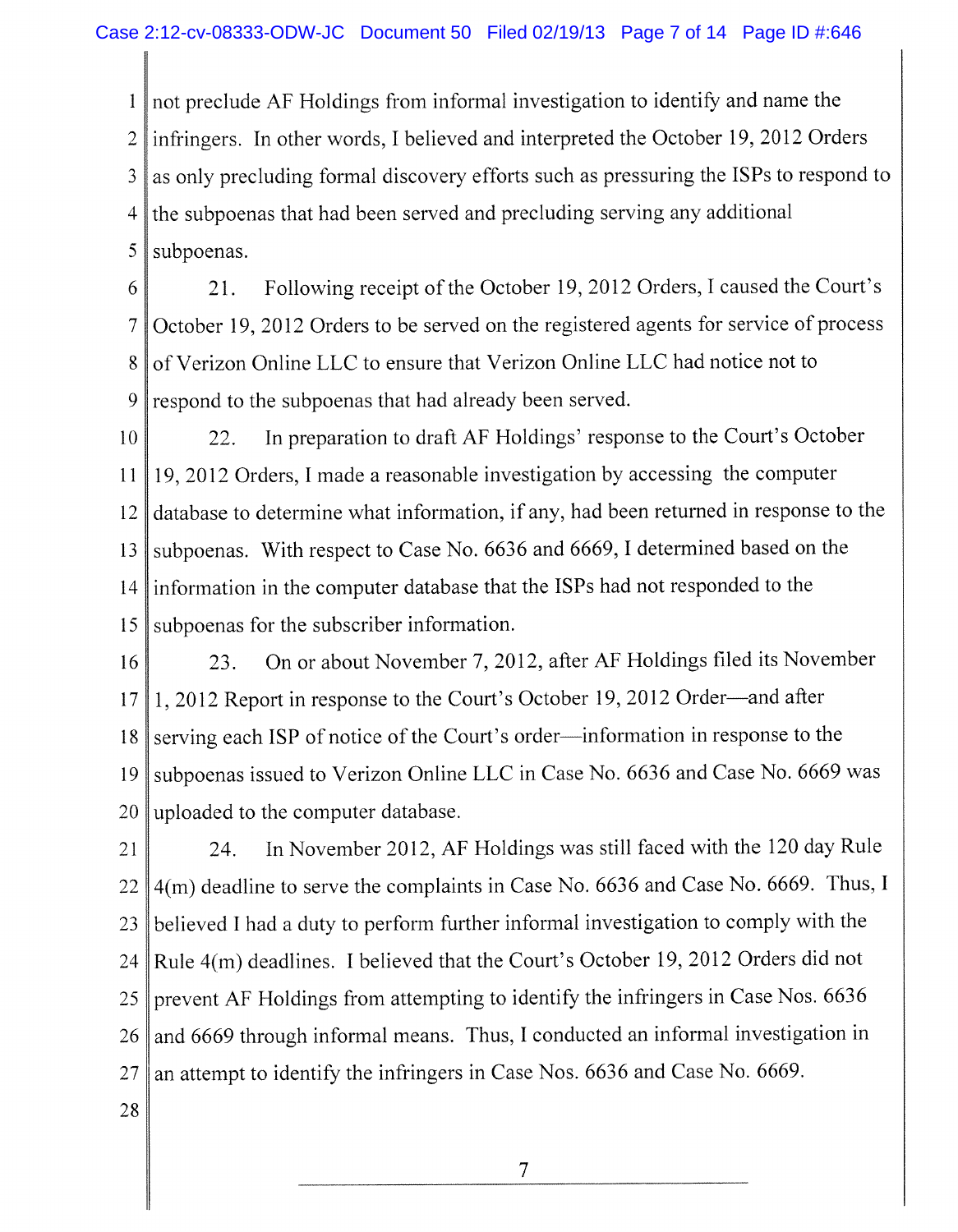1 2 3 4 5 not preclude AF Holdings from informal investigation to identify and name the infringers. In other words, I believed and interpreted the October 19, 2012 Orders as only precluding formal discovery efforts such as pressuring the ISPs to respond to the subpoenas that had been served and precluding serving any additional subpoenas.

6 7 8 9 21. Following receipt of the October 19,2012 Orders, I caused the Court's October 19, 2012 Orders to be served on the registered agents for service of process of Verizon Online LLC to ensure that Verizon Online LLC had notice not to respond to the subpoenas that had already been served.

10 11 12 13 14 15 22. In preparation to draft AF Holdings' response to the Court's October 19, 2012 Orders, I made a reasonable investigation by accessing the computer database to determine what information, if any, had been returned in response to the subpoenas. With respect to Case No. 6636 and 6669, I determined based on the information in the computer database that the ISPs had not responded to the subpoenas for the subscriber information.

16 17 18 19 20 23. On or about November 7, 2012, after AF Holdings filed its November 1, 2012 Report in response to the Court's October 19, 2012 Order—and after serving each ISP of notice of the Court's order—information in response to the subpoenas issued to Verizon Online LLC in Case No. 6636 and Case No. 6669 was uploaded to the computer database.

21 22 23 24 25 26 27 24. In November 2012, AF Holdings was still faced with the 120 day Rule 4(m) deadline to serve the complaints in Case No. 6636 and Case No. 6669. Thus, I believed I had a duty to perform further informal investigation to comply with the Rule **4**(m) deadlines. I believed that the Court's October 19, 2012 Orders did not prevent AF Holdings from attempting to identify the infringers in Case Nos. 6636 and 6669 through informal means. Thus, I conducted an informal investigation in an attempt to identify the infringers in Case Nos. 6636 and Case No. 6669.

28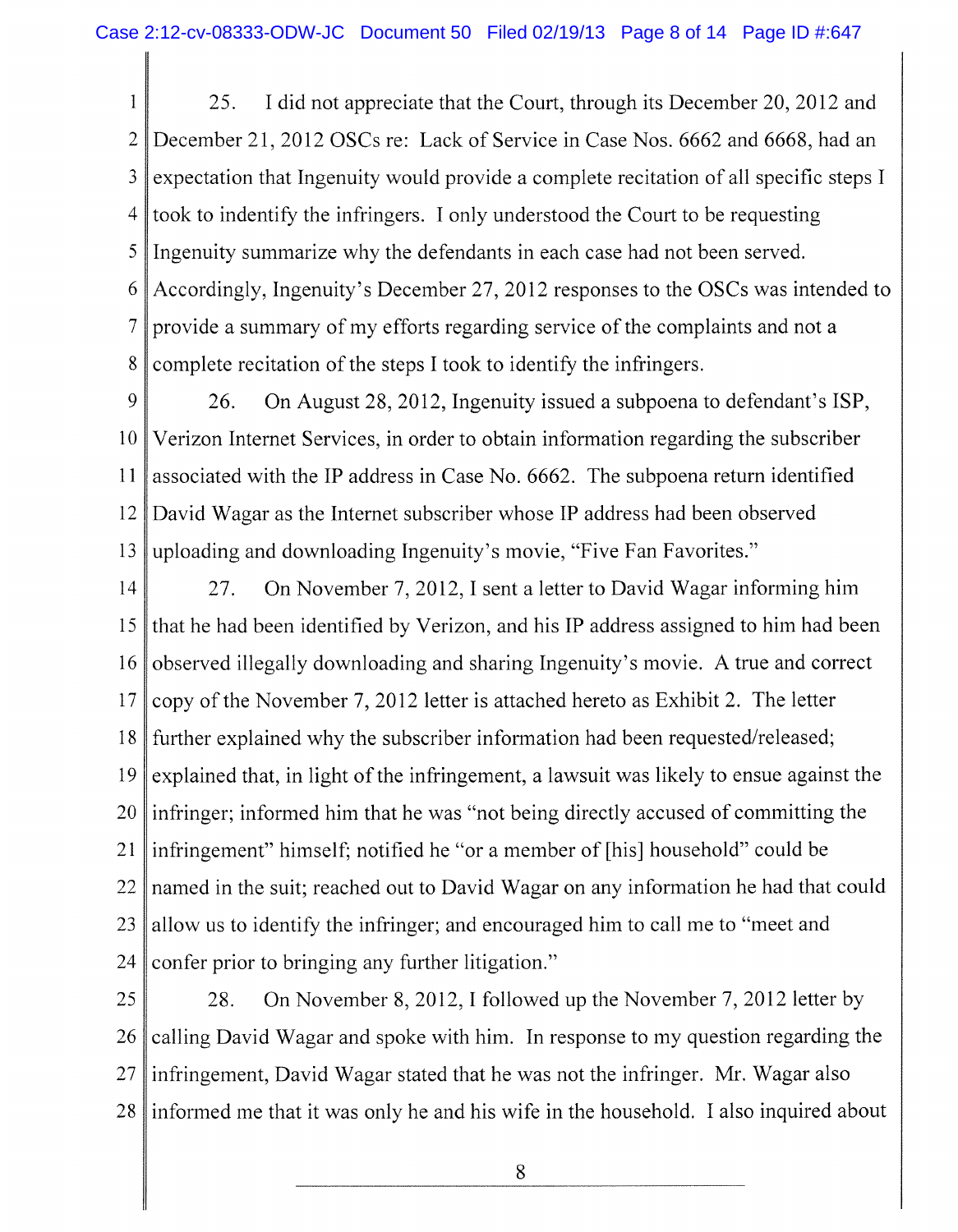1 2 3 4 5 6 7 8 25. I did not appreciate that the Court, through its December 20, 2012 and December 21, 2012 OSCs re: Lack of Service in Case Nos. 6662 and 6668, had an expectation that Ingenuity would provide a complete recitation of all specific steps I took to indentify the infringers. I only understood the Court to be requesting Ingenuity summarize why the defendants in each case had not been served. Accordingly, Ingenuity's December 27, 2012 responses to the OSCs was intended to provide a summary of my efforts regarding service of the complaints and not a complete recitation of the steps I took to identify the infringers.

9 10 11 12 13 26. On August 28, 2012, Ingenuity issued a subpoena to defendant's ISP, Verizon Internet Services, in order to obtain information regarding the subscriber associated with the IP address in Case No. 6662. The subpoena return identified David Wagar as the Internet subscriber whose IP address had been observed uploading and downloading Ingenuity's movie, "Five Fan Favorites."

14 15 16 17 18 19 20 21 22 23 24 27. On November 7, 2012, I sent a letter to David Wagar informing him that he had been identified by Verizon, and his IP address assigned to him had been observed illegally downloading and sharing Ingenuity's movie. A true and correct copy of the November 7, 2012 letter is attached hereto as Exhibit 2. The letter further explained why the subscriber information had been requested/released; explained that, in light of the infringement, a lawsuit was likely to ensue against the infringer; informed him that he was "not being directly accused of committing the infringement" himself; notified he "or a member of [his] household" could be named in the suit; reached out to David Wagar on any information he had that could allow us to identify the infringer; and encouraged him to call me to "meet and confer prior to bringing any further litigation."

25 26 27 28 28. On November 8, 2012, I followed up the November 7, 2012 letter by calling David Wagar and spoke with him. In response to my question regarding the infringement, David Wagar stated that he was not the infringer. Mr. Wagar also informed me that it was only he and his wife in the household. I also inquired about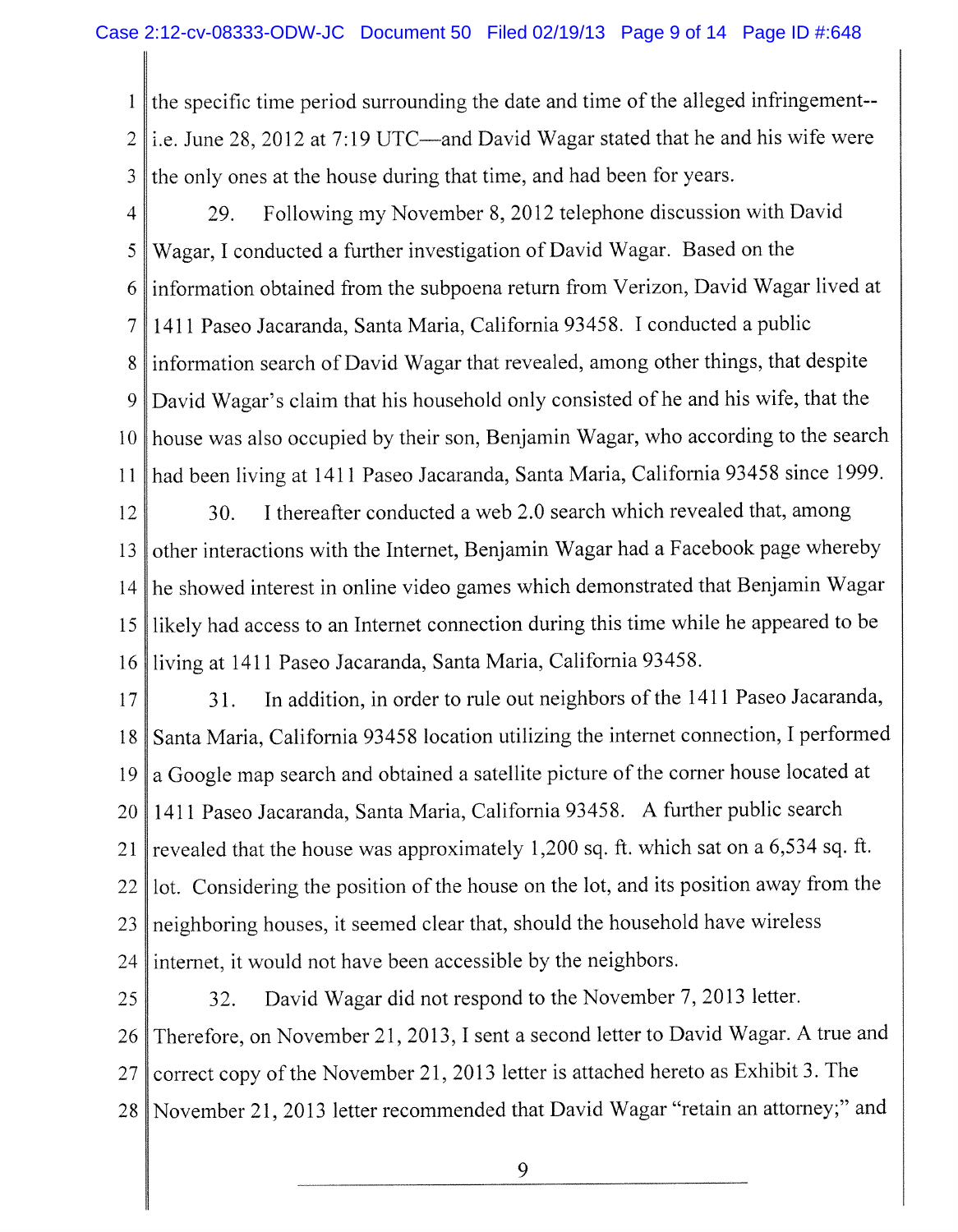1 2 3 the specific time period surrounding the date and time of the alleged infringementi.e. June 28, 2012 at 7:19 UTC—and David Wagar stated that he and his wife were the only ones at the house during that time, and had been for years.

4 5 6 7 8 9 10 11 29. Following my November 8, 2012 telephone discussion with David Wagar, I conducted a further investigation of David Wagar. Based on the information obtained from the subpoena return from Verizon, David Wagar lived at 1411 Paseo Jacaranda, Santa Maria, California 93458. I conducted a public information search of David Wagar that revealed, among other things, that despite David Wagar's claim that his household only consisted of he and his wife, that the house was also occupied by their son, Benjamin Wagar, who according to the search had been living at 1411 Paseo Jacaranda, Santa Maria, California 93458 since 1999.

12 13 14 15 16 30. I thereafter conducted a web 2.0 search which revealed that, among other interactions with the Internet, Benjamin Wagar had a Facebook page whereby he showed interest in online video games which demonstrated that Benjamin Wagar likely had access to an Internet connection during this time while he appeared to be living at 1411 Paseo Jacaranda, Santa Maria, California 93458.

17 18 19 20 21 22 23 24 31. In addition, in order to rule out neighbors of the 1411 Paseo Jacaranda, Santa Maria, California 93458 location utilizing the internet connection, I performed a Google map search and obtained a satellite picture of the corner house located at 1411 Paseo Jacaranda, Santa Maria, California 93458. A further public search revealed that the house was approximately 1,200 sq. ft. which sat on a 6,534 sq. ft. lot. Considering the position of the house on the lot, and its position away from the neighboring houses, it seemed clear that, should the household have wireless internet, it would not have been accessible by the neighbors.

25 26 27 28 32. David Wagar did not respond to the November 7,2013 letter. Therefore, on November 21, 2013, I sent a second letter to David Wagar. A true and correct copy of the November 21, 2013 letter is attached hereto as Exhibit 3. The November 21, 2013 letter recommended that David Wagar "retain an attorney;" and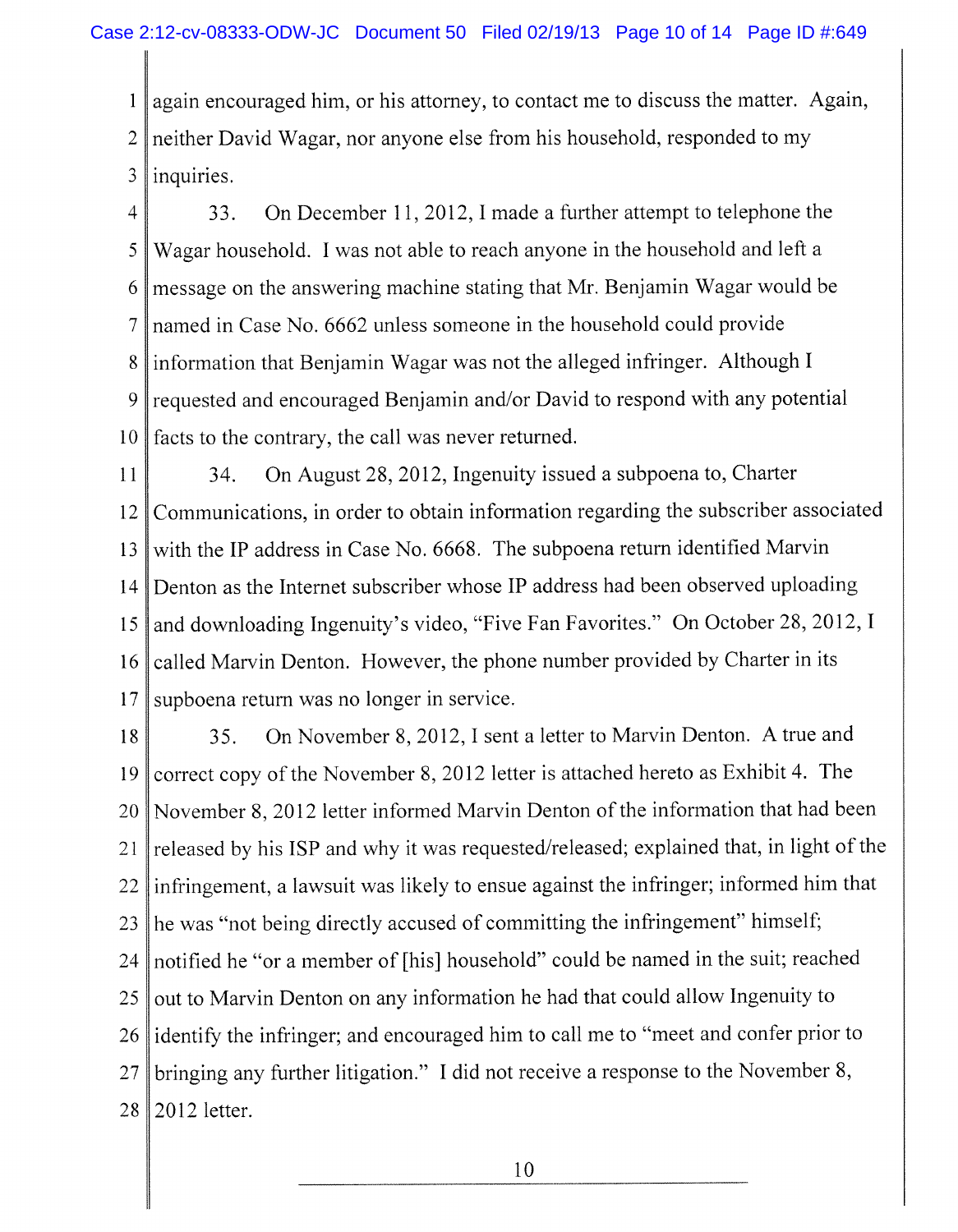1 2 3 again encouraged him, or his attorney, to contact me to discuss the matter. Again, neither David Wagar, nor anyone else from his household, responded to my inquiries.

4 5 6 7 8 9 10 33. On December 11, 2012, I made a further attempt to telephone the Wagar household. I was not able to reach anyone in the household and left a message on the answering machine stating that Mr. Benjamin Wagar would be named in Case No. 6662 unless someone in the household could provide information that Benjamin Wagar was not the alleged infringer. Although I requested and encouraged Benjamin and/or David to respond with any potential facts to the contrary, the call was never returned.

11 12 13 14 15 16 17 34. On August 28, 2012, Ingenuity issued a subpoena to, Charter Communications, in order to obtain information regarding the subscriber associated with the IP address in Case No. 6668. The subpoena return identified Marvin Denton as the Internet subscriber whose IP address had been observed uploading and downloading Ingenuity's video, "Five Fan Favorites." On October 28, 2012,1 called Marvin Denton. However, the phone number provided by Charter in its supboena return was no longer in service.

18 19 20 21 22 23 24 25 26 27 28 35. On November 8, 2012, I sent a letter to Marvin Denton. A true and correct copy of the November 8, 2012 letter is attached hereto as Exhibit 4. The November 8, 2012 letter informed Marvin Denton of the information that had been released by his ISP and why it was requested/released; explained that, in light of the infringement, a lawsuit was likely to ensue against the infringer; informed him that he was "not being directly accused of committing the infringement" himself; notified he "or a member of [his] household" could be named in the suit; reached out to Marvin Denton on any information he had that could allow Ingenuity to identify the infringer; and encouraged him to call me to "meet and confer prior to bringing any further litigation." I did not receive a response to the November 8, 2012 letter.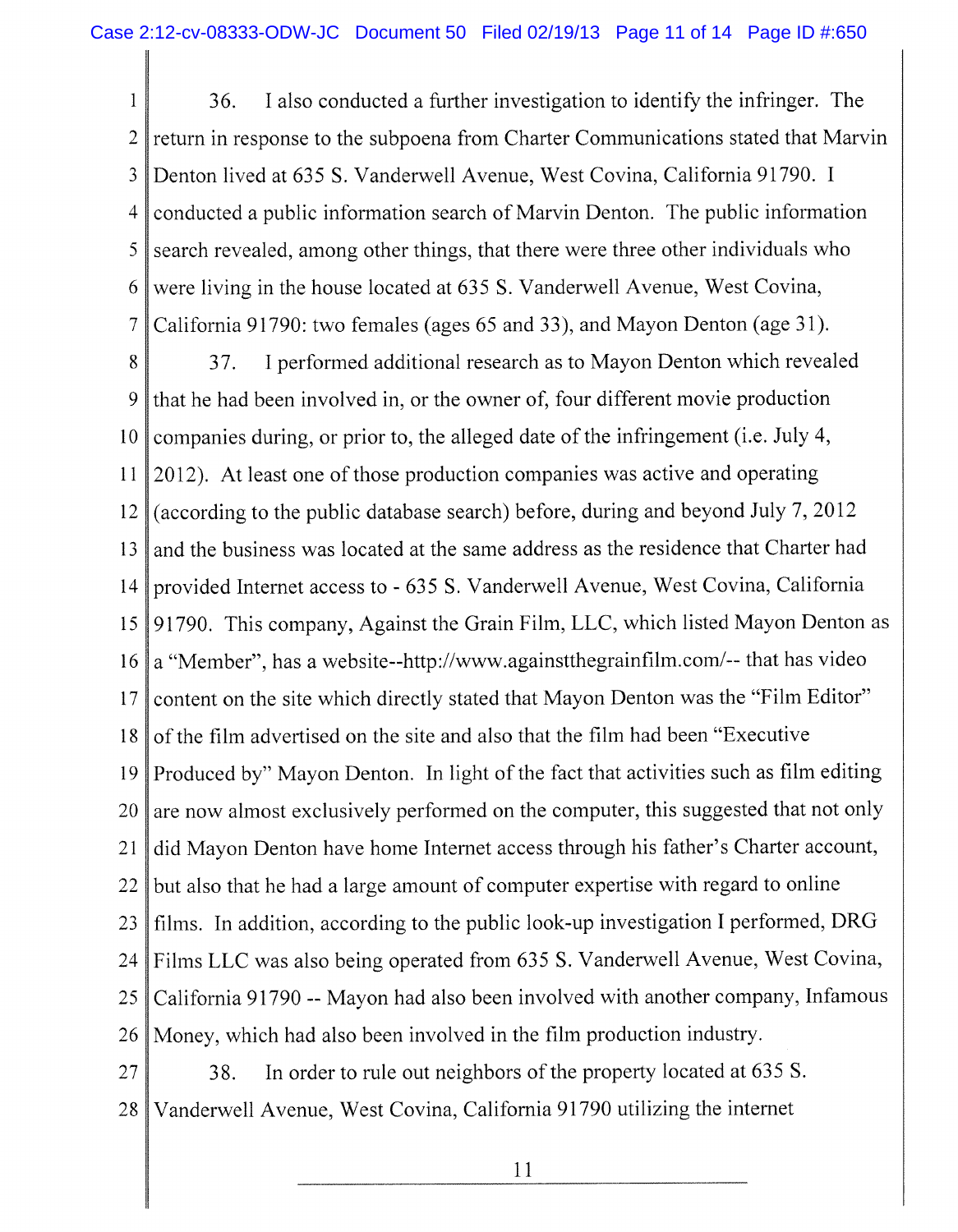1 2 3 4 5 6 7 36. I also conducted a further investigation to identify the infringer. The return in response to the subpoena from Charter Communications stated that Marvin Denton lived at 635 S. Vanderwell Avenue, West Covina, California 91790. I conducted a public information search of Marvin Denton. The public information search revealed, among other things, that there were three other individuals who were living in the house located at 635 S. Vanderwell Avenue, West Covina, California 91790: two females (ages 65 and 33), and Mayon Denton (age 31).

8 9 10 11 12 13 14 15 16 17 18 19 20 21 22 23 24 25 26 37. I performed additional research as to Mayon Denton which revealed that he had been involved in, or the owner of, four different movie production companies during, or prior to, the alleged date of the infringement (i.e. July 4, 2012). At least one of those production companies was active and operating (according to the public database search) before, during and beyond July 7, 2012 and the business was located at the same address as the residence that Charter had provided Internet access to - 635 S. Vanderwell Avenue, West Covina, California 91790. This company, Against the Grain Film, LLC , which listed Mayon Denton as a "Member", has a website~http://www.againstthegrainfilm.com/-- that has video content on the site which directly stated that Mayon Denton was the "Film Editor" of the film advertised on the site and also that the film had been "Executive Produced by" Mayon Denton. In light of the fact that activities such as film editing are now almost exclusively performed on the computer, this suggested that not only did Mayon Denton have home Internet access through his father's Charter account, but also that he had a large amount of computer expertise with regard to online films. In addition, according to the public look-up investigation I performed, DR G Films LLC was also being operated from 635 S. Vanderwell Avenue, West Covina, California 91790 ~ Mayon had also been involved with another company, Infamous Money, which had also been involved in the film production industry.

27 28 38. In order to rule out neighbors of the property located at 635 S. Vanderwell Avenue, West Covina, California 91790 utilizing the internet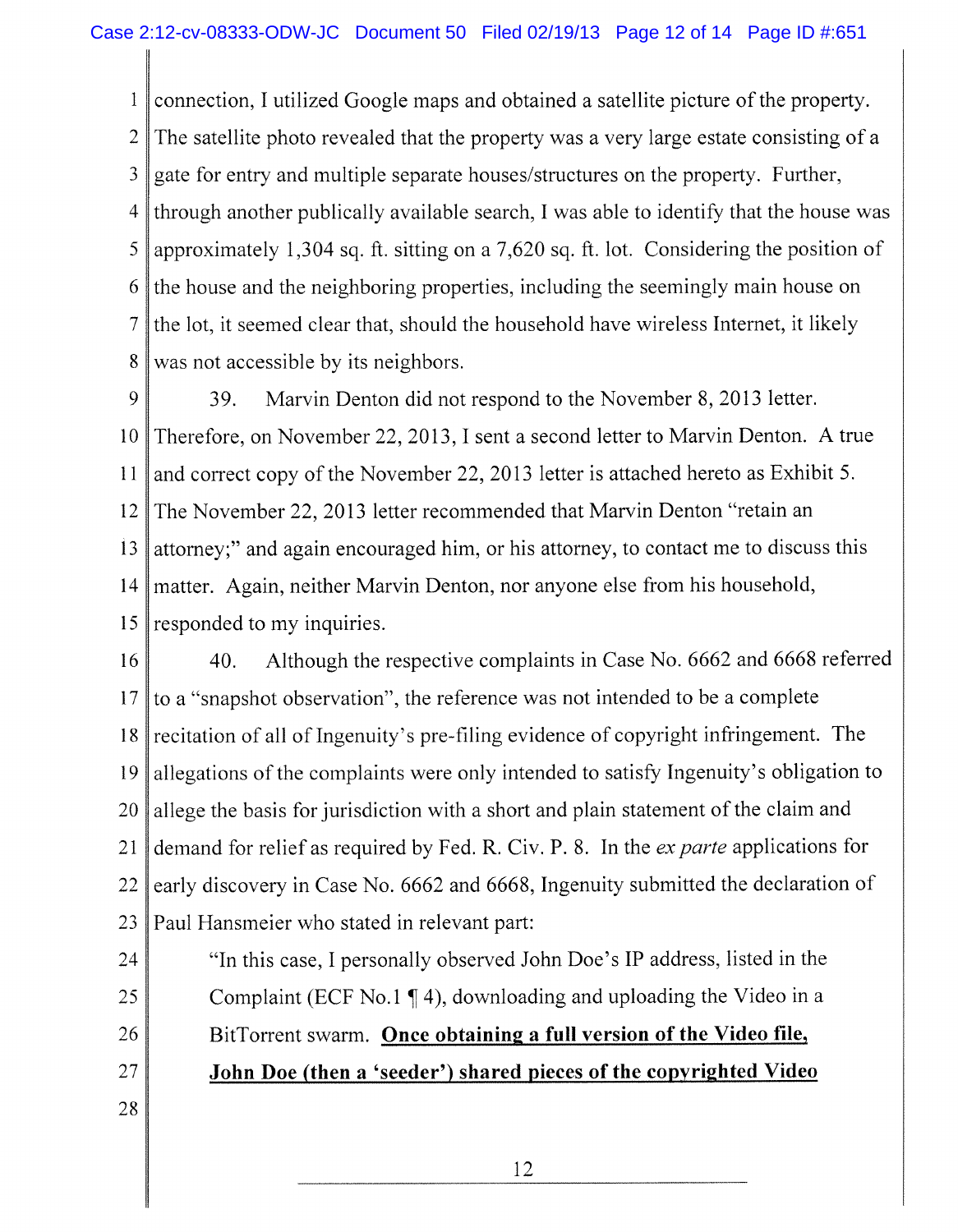1 2 3 4 5 6 7 8 connection, I utilized Google maps and obtained a satellite picture of the property. The satellite photo revealed that the property was a very large estate consisting of a gate for entry and multiple separate houses/structures on the property. Further, through another publically available search, I was able to identify that the house was approximately 1,304 sq. ft. sitting on a 7,620 sq. ft. lot. Considering the position of the house and the neighboring properties, including the seemingly main house on the lot, it seemed clear that, should the household have wireless Internet, it likely was not accessible by its neighbors.

9 10 11 12 13 14 15 39. Marvin Denton did not respond to the November 8, 2013 letter. Therefore, on November 22, 2013, I sent a second letter to Marvin Denton. A true and correct copy of the November 22, 2013 letter is attached hereto as Exhibit 5. The November 22, 2013 letter recommended that Marvin Denton "retain an attorney;" and again encouraged him, or his attorney, to contact me to discuss this matter. Again, neither Marvin Denton, nor anyone else from his household, responded to my inquiries.

16 17 18 19 20 21 22 23 40. Although the respective complaints in Case No. 6662 and 6668 referred to a "snapshot observation", the reference was not intended to be a complete recitation of all of Ingenuity's pre-filing evidence of copyright infringement. The allegations of the complaints were only intended to satisfy Ingenuity's obligation to allege the basis for jurisdiction with a short and plain statement of the claim and demand for relief as required by Fed. R. Civ. P. 8. In the *ex parte* applications for early discovery in Case No. 6662 and 6668, Ingenuity submitted the declaration of Paul Hansmeier who stated in relevant part:

24 25 26 27 "In this case, I personally observed John Doe's IP address, listed in the Complaint (ECF No. 1  $\P$  4), downloading and uploading the Video in a BitTorrent swarm. **Once obtaining a full version of the Video file, John Doe (then a 'seeder') shared pieces of the copyrighted Video**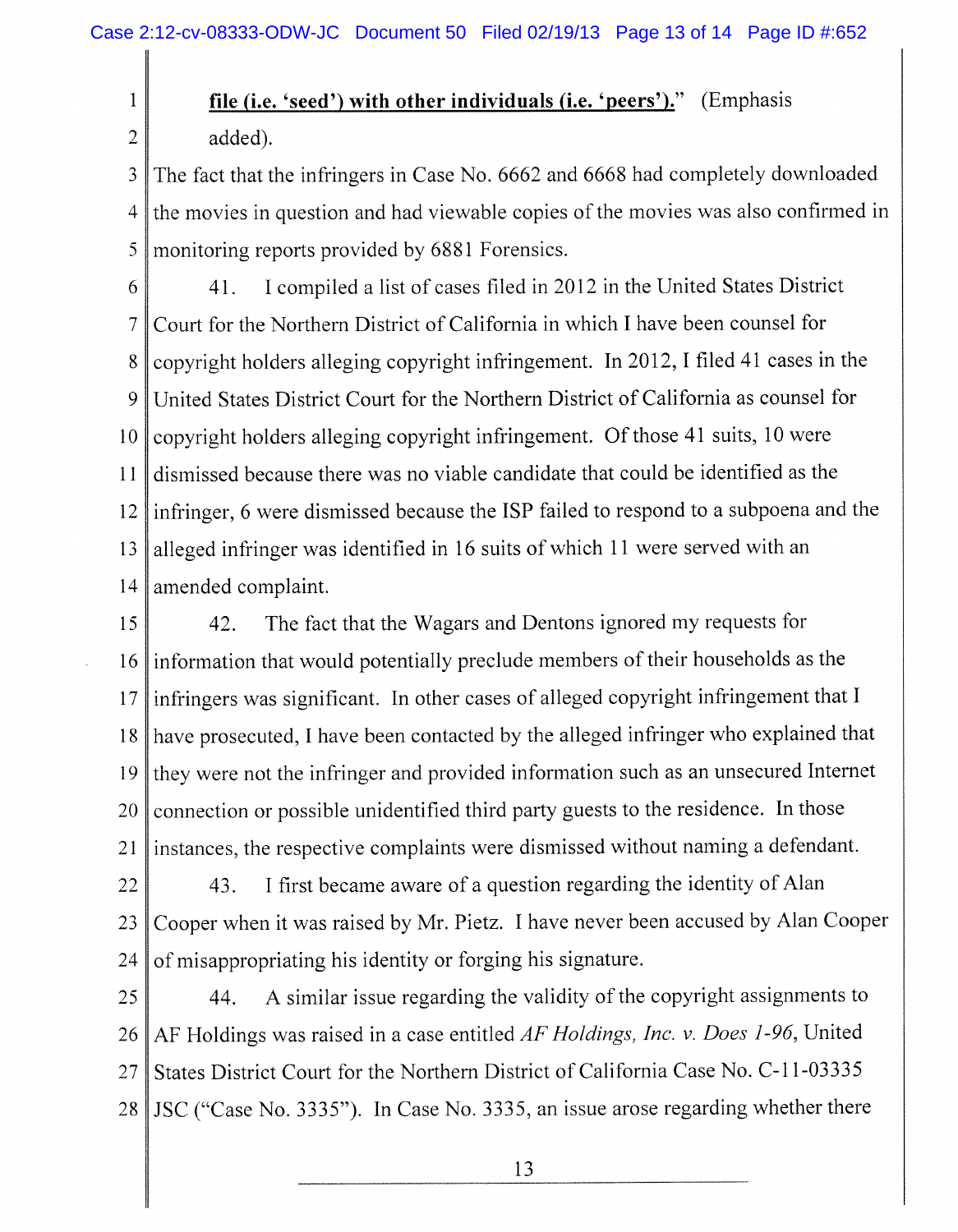1

2

## **file (i.e. 'seed') with other individuals (i.e. 'peers')."** (Emphasis added).

3 4 5 The fact that the infringers in Case No. 6662 and 6668 had completely downloaded the movies in question and had viewable copies of the movies was also confirmed in monitoring reports provided by 6881 Forensics.

6 7 8 9 10 11 12 13 14 41. I compiled a list of cases filed in 2012 in the United States District Court for the Northern District of California in which I have been counsel for copyright holders alleging copyright infringement. In 2012, I filed 41 cases in the United States District Court for the Northern District of California as counsel for copyright holders alleging copyright infringement. Of those 41 suits, 10 were dismissed because there was no viable candidate that could be identified as the infringer, 6 were dismissed because the ISP failed to respond to a subpoena and the alleged infringer was identified in 16 suits of which 11 were served with an amended complaint.

15 16 17 18 19 20 21 42. The fact that the Wagars and Dentons ignored my requests for information that would potentially preclude members of their households as the infringers was significant. In other cases of alleged copyright infringement that I have prosecuted, I have been contacted by the alleged infringer who explained that they were not the infringer and provided information such as an unsecured Internet connection or possible unidentified third party guests to the residence. In those instances, the respective complaints were dismissed without naming a defendant.

22 23 24 43. I first became aware of a question regarding the identity of Alan Cooper when it was raised by Mr. Pietz. I have never been accused by Alan Cooper of misappropriating his identity or forging his signature.

25 26 27 28 JSC ("Case No. 3335"). In Case No. 3335, an issue arose regarding whether there 44. A similar issue regarding the validity of the copyright assignments to A F Holdings was raised in a case entitled *AF Holdings, Inc. v. Does 1-96,* United States District Court for the Northern District of California Case No. C- l 1-03335